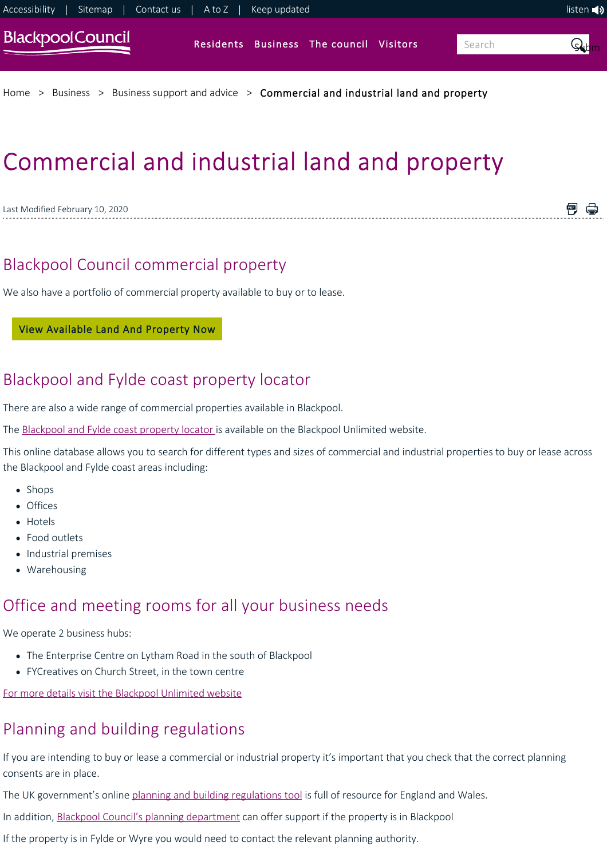

門 骨

# Commercial and industrial land and property

Last Modified February 10, 2020

## Blackpool Council commercial property

We also have a portfolio of commercial property available to buy or to lease.

#### View Available Land And Property Now

## Blackpool and Fylde coast property locator

There are also a wide range of commercial properties available in Blackpool.

The [Blackpool and Fylde coast property locator i](https://www.blackpoolunlimited.com/property-locator)s available on the Blackpool Unlimited website.

This online database allows you to search for different types and sizes of commercial and industrial properties to buy or lease across the Blackpool and Fylde coast areas including:

- Shops
- Offices
- Hotels
- Food outlets
- Industrial premises
- Warehousing

### Office and meeting rooms for all your business needs

We operate 2 business hubs:

- The Enterprise Centre on Lytham Road in the south of Blackpool
- FYCreatives on Church Street, in the town centre

[For more details visit the Blackpool Unlimited website](http://blackpoolunlimited.com/general-page/Business-Rooms)

## Planning and building regulations

If you are intending to buy or lease a commercial or industrial property it's important that you check that the correct planning consents are in place.

The UK government's online [planning and building regulations tool](http://www.planningportal.gov.uk/wps/portal/portalhome/unauthenticatedhome/!ut/p/c5/04_SB8K8xLLM9MSSzPy8xBz9CP0os3gjtxBnJydDRwMLbzdLA09nSw_zsKBAIwN3U_1wkA6zeHMXS4gKd29TRwNPI0s3b2e_AGMDAwOIvAEO4Gig7-eRn5uqX5CdneboqKgIAGUwqho!/dl3/d3/L2dBISEvZ0FBIS9nQSEh/) is full of resource for England and Wales.

In addition, [Blackpool Council's planning department](https://www.blackpool.gov.uk/Residents/Planning-environment-and-community/Planning/Blackpool-planning-team.aspx) can offer support if the property is in Blackpool

If the property is in Fylde or Wyre you would need to contact the relevant planning authority.